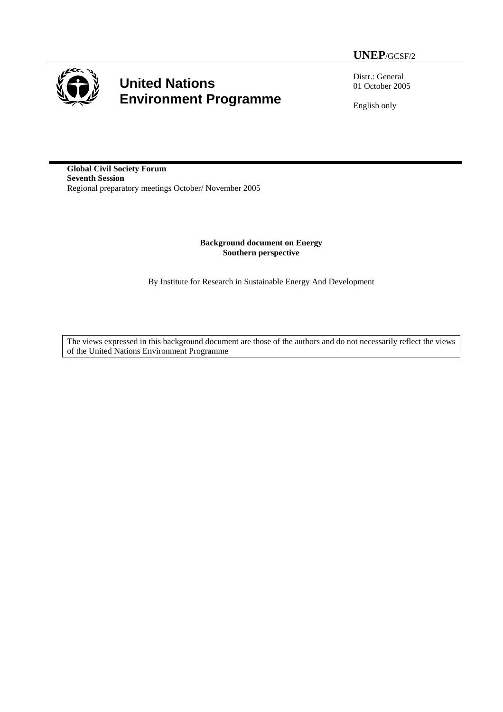

# **United Nations Environment Programme**

Distr.: General 01 October 2005

English only

**Global Civil Society Forum Seventh Session**  Regional preparatory meetings October/ November 2005

> **Background document on Energy Southern perspective**

By Institute for Research in Sustainable Energy And Development

The views expressed in this background document are those of the authors and do not necessarily reflect the views of the United Nations Environment Programme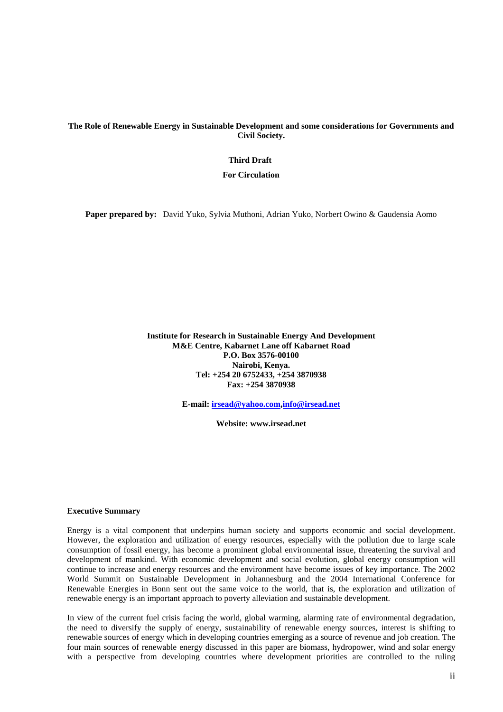**The Role of Renewable Energy in Sustainable Development and some considerations for Governments and Civil Society.** 

#### **Third Draft**

 **For Circulation** 

**Paper prepared by:** David Yuko, Sylvia Muthoni, Adrian Yuko, Norbert Owino & Gaudensia Aomo

**Institute for Research in Sustainable Energy And Development M&E Centre, Kabarnet Lane off Kabarnet Road P.O. Box 3576-00100 Nairobi, Kenya. Tel: +254 20 6752433, +254 3870938 Fax: +254 3870938** 

**E-mail: [irsead@yahoo.com](mailto:irsead@yahoo.com)[,info@irsead.net](mailto:info@irsead.net)**

**Website: www.irsead.net**

#### **Executive Summary**

Energy is a vital component that underpins human society and supports economic and social development. However, the exploration and utilization of energy resources, especially with the pollution due to large scale consumption of fossil energy, has become a prominent global environmental issue, threatening the survival and development of mankind. With economic development and social evolution, global energy consumption will continue to increase and energy resources and the environment have become issues of key importance. The 2002 World Summit on Sustainable Development in Johannesburg and the 2004 International Conference for Renewable Energies in Bonn sent out the same voice to the world, that is, the exploration and utilization of renewable energy is an important approach to poverty alleviation and sustainable development.

In view of the current fuel crisis facing the world, global warming, alarming rate of environmental degradation, the need to diversify the supply of energy, sustainability of renewable energy sources, interest is shifting to renewable sources of energy which in developing countries emerging as a source of revenue and job creation. The four main sources of renewable energy discussed in this paper are biomass, hydropower, wind and solar energy with a perspective from developing countries where development priorities are controlled to the ruling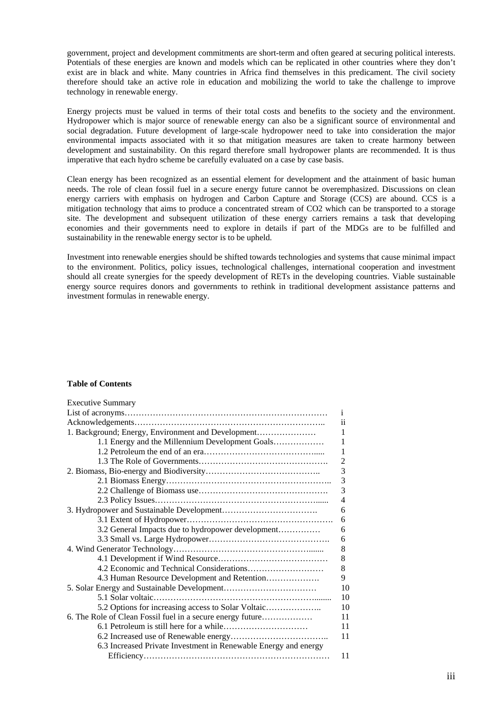government, project and development commitments are short-term and often geared at securing political interests. Potentials of these energies are known and models which can be replicated in other countries where they don't exist are in black and white. Many countries in Africa find themselves in this predicament. The civil society therefore should take an active role in education and mobilizing the world to take the challenge to improve technology in renewable energy.

Energy projects must be valued in terms of their total costs and benefits to the society and the environment. Hydropower which is major source of renewable energy can also be a significant source of environmental and social degradation. Future development of large-scale hydropower need to take into consideration the major environmental impacts associated with it so that mitigation measures are taken to create harmony between development and sustainability. On this regard therefore small hydropower plants are recommended. It is thus imperative that each hydro scheme be carefully evaluated on a case by case basis.

Clean energy has been recognized as an essential element for development and the attainment of basic human needs. The role of clean fossil fuel in a secure energy future cannot be overemphasized. Discussions on clean energy carriers with emphasis on hydrogen and Carbon Capture and Storage (CCS) are abound. CCS is a mitigation technology that aims to produce a concentrated stream of CO2 which can be transported to a storage site. The development and subsequent utilization of these energy carriers remains a task that developing economies and their governments need to explore in details if part of the MDGs are to be fulfilled and sustainability in the renewable energy sector is to be upheld.

Investment into renewable energies should be shifted towards technologies and systems that cause minimal impact to the environment. Politics, policy issues, technological challenges, international cooperation and investment should all create synergies for the speedy development of RETs in the developing countries. Viable sustainable energy source requires donors and governments to rethink in traditional development assistance patterns and investment formulas in renewable energy.

## **Table of Contents**

| <b>Executive Summary</b>                                        |                |
|-----------------------------------------------------------------|----------------|
|                                                                 | 1              |
|                                                                 | ii             |
| 1. Background; Energy, Environment and Development              | 1              |
| 1.1 Energy and the Millennium Development Goals                 | 1              |
|                                                                 | 1              |
|                                                                 | $\overline{c}$ |
|                                                                 | 3              |
|                                                                 | 3              |
|                                                                 | 3              |
|                                                                 | 4              |
|                                                                 | 6              |
|                                                                 | 6              |
| 3.2 General Impacts due to hydropower development               | 6              |
|                                                                 | 6              |
|                                                                 |                |
|                                                                 | 8              |
|                                                                 | 8              |
|                                                                 | 9              |
| 10                                                              |                |
|                                                                 | 10             |
| 5.2 Options for increasing access to Solar Voltaic              | 10             |
| 6. The Role of Clean Fossil fuel in a secure energy future      | 11             |
|                                                                 | 11             |
|                                                                 | 11             |
| 6.3 Increased Private Investment in Renewable Energy and energy |                |
|                                                                 | 11             |
|                                                                 |                |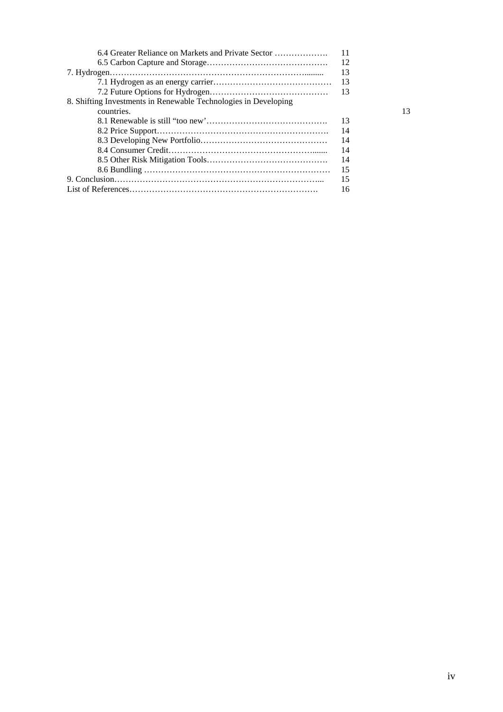| 6.4 Greater Reliance on Markets and Private Sector              | -11  |
|-----------------------------------------------------------------|------|
|                                                                 |      |
|                                                                 | 13   |
|                                                                 |      |
|                                                                 |      |
| 8. Shifting Investments in Renewable Technologies in Developing |      |
| countries.                                                      | 13   |
|                                                                 | 13   |
|                                                                 | - 14 |
|                                                                 | - 14 |
|                                                                 | -14  |
|                                                                 | -14  |
|                                                                 | - 15 |
|                                                                 | 15   |
|                                                                 | 16   |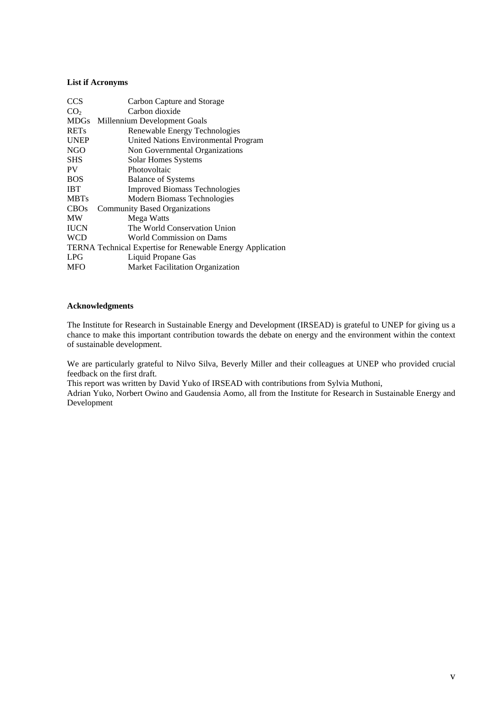# **List if Acronyms**

| <b>CCS</b>      | Carbon Capture and Storage                                 |
|-----------------|------------------------------------------------------------|
| CO <sub>2</sub> | Carbon dioxide                                             |
| <b>MDGs</b>     | Millennium Development Goals                               |
| <b>RETs</b>     | Renewable Energy Technologies                              |
| <b>UNEP</b>     | United Nations Environmental Program                       |
| <b>NGO</b>      | Non Governmental Organizations                             |
| <b>SHS</b>      | Solar Homes Systems                                        |
| PV              | Photovoltaic                                               |
| <b>BOS</b>      | <b>Balance of Systems</b>                                  |
| <b>IBT</b>      | <b>Improved Biomass Technologies</b>                       |
| <b>MBTs</b>     | Modern Biomass Technologies                                |
| <b>CBOs</b>     | <b>Community Based Organizations</b>                       |
| <b>MW</b>       | Mega Watts                                                 |
| <b>IUCN</b>     | The World Conservation Union                               |
| <b>WCD</b>      | World Commission on Dams                                   |
|                 | TERNA Technical Expertise for Renewable Energy Application |
| LPG             | Liquid Propane Gas                                         |
| <b>MFO</b>      | <b>Market Facilitation Organization</b>                    |

#### **Acknowledgments**

The Institute for Research in Sustainable Energy and Development (IRSEAD) is grateful to UNEP for giving us a chance to make this important contribution towards the debate on energy and the environment within the context of sustainable development.

We are particularly grateful to Nilvo Silva, Beverly Miller and their colleagues at UNEP who provided crucial feedback on the first draft.

This report was written by David Yuko of IRSEAD with contributions from Sylvia Muthoni,

Adrian Yuko, Norbert Owino and Gaudensia Aomo, all from the Institute for Research in Sustainable Energy and Development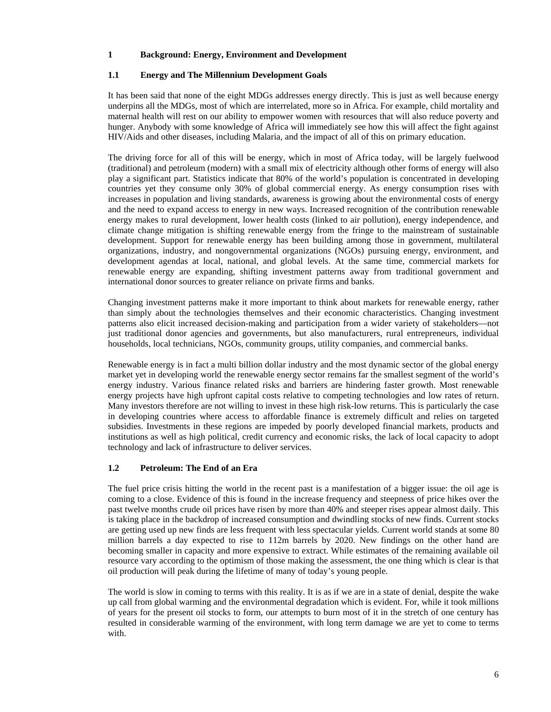## **1 Background: Energy, Environment and Development**

## **1.1 Energy and The Millennium Development Goals**

It has been said that none of the eight MDGs addresses energy directly. This is just as well because energy underpins all the MDGs, most of which are interrelated, more so in Africa. For example, child mortality and maternal health will rest on our ability to empower women with resources that will also reduce poverty and hunger. Anybody with some knowledge of Africa will immediately see how this will affect the fight against HIV/Aids and other diseases, including Malaria, and the impact of all of this on primary education.

The driving force for all of this will be energy, which in most of Africa today, will be largely fuelwood (traditional) and petroleum (modern) with a small mix of electricity although other forms of energy will also play a significant part. Statistics indicate that 80% of the world's population is concentrated in developing countries yet they consume only 30% of global commercial energy. As energy consumption rises with increases in population and living standards, awareness is growing about the environmental costs of energy and the need to expand access to energy in new ways. Increased recognition of the contribution renewable energy makes to rural development, lower health costs (linked to air pollution), energy independence, and climate change mitigation is shifting renewable energy from the fringe to the mainstream of sustainable development. Support for renewable energy has been building among those in government, multilateral organizations, industry, and nongovernmental organizations (NGOs) pursuing energy, environment, and development agendas at local, national, and global levels. At the same time, commercial markets for renewable energy are expanding, shifting investment patterns away from traditional government and international donor sources to greater reliance on private firms and banks.

Changing investment patterns make it more important to think about markets for renewable energy, rather than simply about the technologies themselves and their economic characteristics. Changing investment patterns also elicit increased decision-making and participation from a wider variety of stakeholders—not just traditional donor agencies and governments, but also manufacturers, rural entrepreneurs, individual households, local technicians, NGOs, community groups, utility companies, and commercial banks.

Renewable energy is in fact a multi billion dollar industry and the most dynamic sector of the global energy market yet in developing world the renewable energy sector remains far the smallest segment of the world's energy industry. Various finance related risks and barriers are hindering faster growth. Most renewable energy projects have high upfront capital costs relative to competing technologies and low rates of return. Many investors therefore are not willing to invest in these high risk-low returns. This is particularly the case in developing countries where access to affordable finance is extremely difficult and relies on targeted subsidies. Investments in these regions are impeded by poorly developed financial markets, products and institutions as well as high political, credit currency and economic risks, the lack of local capacity to adopt technology and lack of infrastructure to deliver services.

# **1.2 Petroleum: The End of an Era**

The fuel price crisis hitting the world in the recent past is a manifestation of a bigger issue: the oil age is coming to a close. Evidence of this is found in the increase frequency and steepness of price hikes over the past twelve months crude oil prices have risen by more than 40% and steeper rises appear almost daily. This is taking place in the backdrop of increased consumption and dwindling stocks of new finds. Current stocks are getting used up new finds are less frequent with less spectacular yields. Current world stands at some 80 million barrels a day expected to rise to 112m barrels by 2020. New findings on the other hand are becoming smaller in capacity and more expensive to extract. While estimates of the remaining available oil resource vary according to the optimism of those making the assessment, the one thing which is clear is that oil production will peak during the lifetime of many of today's young people.

The world is slow in coming to terms with this reality. It is as if we are in a state of denial, despite the wake up call from global warming and the environmental degradation which is evident. For, while it took millions of years for the present oil stocks to form, our attempts to burn most of it in the stretch of one century has resulted in considerable warming of the environment, with long term damage we are yet to come to terms with.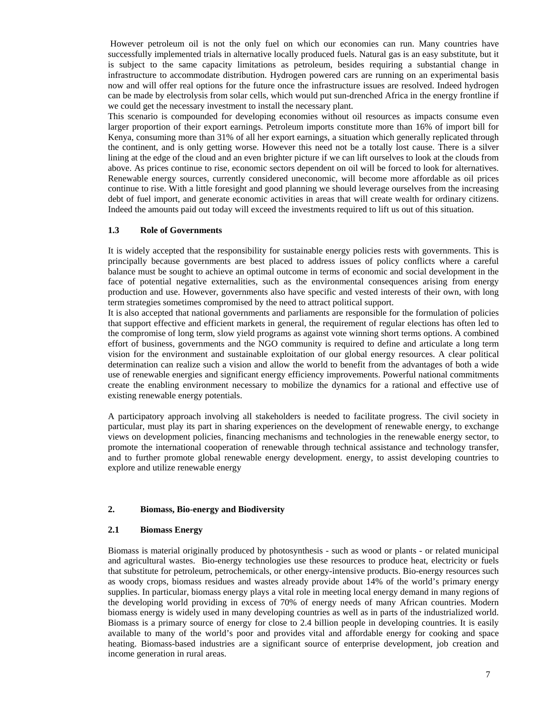However petroleum oil is not the only fuel on which our economies can run. Many countries have successfully implemented trials in alternative locally produced fuels. Natural gas is an easy substitute, but it is subject to the same capacity limitations as petroleum, besides requiring a substantial change in infrastructure to accommodate distribution. Hydrogen powered cars are running on an experimental basis now and will offer real options for the future once the infrastructure issues are resolved. Indeed hydrogen can be made by electrolysis from solar cells, which would put sun-drenched Africa in the energy frontline if we could get the necessary investment to install the necessary plant.

This scenario is compounded for developing economies without oil resources as impacts consume even larger proportion of their export earnings. Petroleum imports constitute more than 16% of import bill for Kenya, consuming more than 31% of all her export earnings, a situation which generally replicated through the continent, and is only getting worse. However this need not be a totally lost cause. There is a silver lining at the edge of the cloud and an even brighter picture if we can lift ourselves to look at the clouds from above. As prices continue to rise, economic sectors dependent on oil will be forced to look for alternatives. Renewable energy sources, currently considered uneconomic, will become more affordable as oil prices continue to rise. With a little foresight and good planning we should leverage ourselves from the increasing debt of fuel import, and generate economic activities in areas that will create wealth for ordinary citizens. Indeed the amounts paid out today will exceed the investments required to lift us out of this situation.

#### **1.3 Role of Governments**

It is widely accepted that the responsibility for sustainable energy policies rests with governments. This is principally because governments are best placed to address issues of policy conflicts where a careful balance must be sought to achieve an optimal outcome in terms of economic and social development in the face of potential negative externalities, such as the environmental consequences arising from energy production and use. However, governments also have specific and vested interests of their own, with long term strategies sometimes compromised by the need to attract political support.

It is also accepted that national governments and parliaments are responsible for the formulation of policies that support effective and efficient markets in general, the requirement of regular elections has often led to the compromise of long term, slow yield programs as against vote winning short terms options. A combined effort of business, governments and the NGO community is required to define and articulate a long term vision for the environment and sustainable exploitation of our global energy resources. A clear political determination can realize such a vision and allow the world to benefit from the advantages of both a wide use of renewable energies and significant energy efficiency improvements. Powerful national commitments create the enabling environment necessary to mobilize the dynamics for a rational and effective use of existing renewable energy potentials.

A participatory approach involving all stakeholders is needed to facilitate progress. The civil society in particular, must play its part in sharing experiences on the development of renewable energy, to exchange views on development policies, financing mechanisms and technologies in the renewable energy sector, to promote the international cooperation of renewable through technical assistance and technology transfer, and to further promote global renewable energy development. energy, to assist developing countries to explore and utilize renewable energy

#### **2. Biomass, Bio-energy and Biodiversity**

#### **2.1 Biomass Energy**

Biomass is material originally produced by photosynthesis - such as wood or plants - or related municipal and agricultural wastes. Bio-energy technologies use these resources to produce heat, electricity or fuels that substitute for petroleum, petrochemicals, or other energy-intensive products. Bio-energy resources such as woody crops, biomass residues and wastes already provide about 14% of the world's primary energy supplies. In particular, biomass energy plays a vital role in meeting local energy demand in many regions of the developing world providing in excess of 70% of energy needs of many African countries. Modern biomass energy is widely used in many developing countries as well as in parts of the industrialized world. Biomass is a primary source of energy for close to 2.4 billion people in developing countries. It is easily available to many of the world's poor and provides vital and affordable energy for cooking and space heating. Biomass-based industries are a significant source of enterprise development, job creation and income generation in rural areas.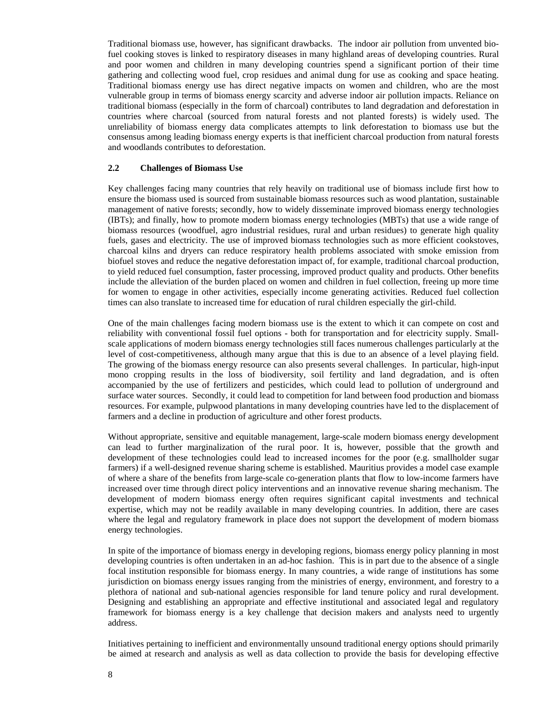Traditional biomass use, however, has significant drawbacks. The indoor air pollution from unvented biofuel cooking stoves is linked to respiratory diseases in many highland areas of developing countries. Rural and poor women and children in many developing countries spend a significant portion of their time gathering and collecting wood fuel, crop residues and animal dung for use as cooking and space heating. Traditional biomass energy use has direct negative impacts on women and children, who are the most vulnerable group in terms of biomass energy scarcity and adverse indoor air pollution impacts. Reliance on traditional biomass (especially in the form of charcoal) contributes to land degradation and deforestation in countries where charcoal (sourced from natural forests and not planted forests) is widely used. The unreliability of biomass energy data complicates attempts to link deforestation to biomass use but the consensus among leading biomass energy experts is that inefficient charcoal production from natural forests and woodlands contributes to deforestation.

#### **2.2 Challenges of Biomass Use**

Key challenges facing many countries that rely heavily on traditional use of biomass include first how to ensure the biomass used is sourced from sustainable biomass resources such as wood plantation, sustainable management of native forests; secondly, how to widely disseminate improved biomass energy technologies (IBTs); and finally, how to promote modern biomass energy technologies (MBTs) that use a wide range of biomass resources (woodfuel, agro industrial residues, rural and urban residues) to generate high quality fuels, gases and electricity. The use of improved biomass technologies such as more efficient cookstoves, charcoal kilns and dryers can reduce respiratory health problems associated with smoke emission from biofuel stoves and reduce the negative deforestation impact of, for example, traditional charcoal production, to yield reduced fuel consumption, faster processing, improved product quality and products. Other benefits include the alleviation of the burden placed on women and children in fuel collection, freeing up more time for women to engage in other activities, especially income generating activities. Reduced fuel collection times can also translate to increased time for education of rural children especially the girl-child.

One of the main challenges facing modern biomass use is the extent to which it can compete on cost and reliability with conventional fossil fuel options - both for transportation and for electricity supply. Smallscale applications of modern biomass energy technologies still faces numerous challenges particularly at the level of cost-competitiveness, although many argue that this is due to an absence of a level playing field. The growing of the biomass energy resource can also presents several challenges. In particular, high-input mono cropping results in the loss of biodiversity, soil fertility and land degradation, and is often accompanied by the use of fertilizers and pesticides, which could lead to pollution of underground and surface water sources. Secondly, it could lead to competition for land between food production and biomass resources. For example, pulpwood plantations in many developing countries have led to the displacement of farmers and a decline in production of agriculture and other forest products.

Without appropriate, sensitive and equitable management, large-scale modern biomass energy development can lead to further marginalization of the rural poor. It is, however, possible that the growth and development of these technologies could lead to increased incomes for the poor (e.g. smallholder sugar farmers) if a well-designed revenue sharing scheme is established. Mauritius provides a model case example of where a share of the benefits from large-scale co-generation plants that flow to low-income farmers have increased over time through direct policy interventions and an innovative revenue sharing mechanism. The development of modern biomass energy often requires significant capital investments and technical expertise, which may not be readily available in many developing countries. In addition, there are cases where the legal and regulatory framework in place does not support the development of modern biomass energy technologies.

In spite of the importance of biomass energy in developing regions, biomass energy policy planning in most developing countries is often undertaken in an ad-hoc fashion. This is in part due to the absence of a single focal institution responsible for biomass energy. In many countries, a wide range of institutions has some jurisdiction on biomass energy issues ranging from the ministries of energy, environment, and forestry to a plethora of national and sub-national agencies responsible for land tenure policy and rural development. Designing and establishing an appropriate and effective institutional and associated legal and regulatory framework for biomass energy is a key challenge that decision makers and analysts need to urgently address.

Initiatives pertaining to inefficient and environmentally unsound traditional energy options should primarily be aimed at research and analysis as well as data collection to provide the basis for developing effective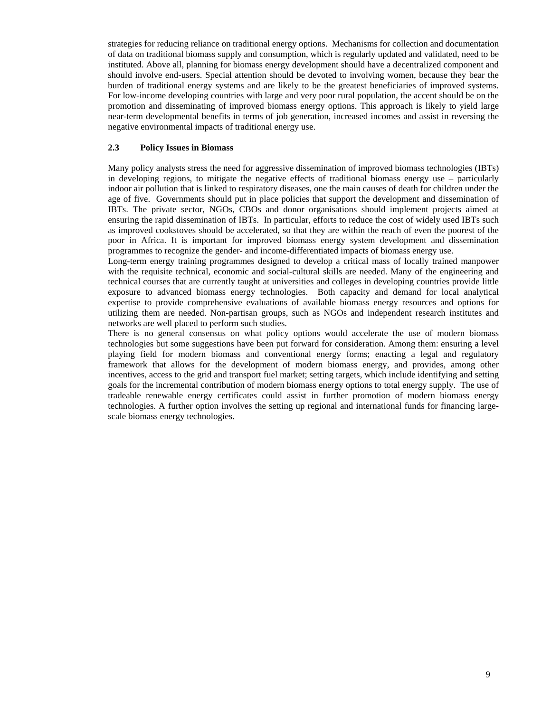strategies for reducing reliance on traditional energy options. Mechanisms for collection and documentation of data on traditional biomass supply and consumption, which is regularly updated and validated, need to be instituted. Above all, planning for biomass energy development should have a decentralized component and should involve end-users. Special attention should be devoted to involving women, because they bear the burden of traditional energy systems and are likely to be the greatest beneficiaries of improved systems. For low-income developing countries with large and very poor rural population, the accent should be on the promotion and disseminating of improved biomass energy options. This approach is likely to yield large near-term developmental benefits in terms of job generation, increased incomes and assist in reversing the negative environmental impacts of traditional energy use.

#### **2.3 Policy Issues in Biomass**

Many policy analysts stress the need for aggressive dissemination of improved biomass technologies (IBTs) in developing regions, to mitigate the negative effects of traditional biomass energy use – particularly indoor air pollution that is linked to respiratory diseases, one the main causes of death for children under the age of five. Governments should put in place policies that support the development and dissemination of IBTs. The private sector, NGOs, CBOs and donor organisations should implement projects aimed at ensuring the rapid dissemination of IBTs. In particular, efforts to reduce the cost of widely used IBTs such as improved cookstoves should be accelerated, so that they are within the reach of even the poorest of the poor in Africa. It is important for improved biomass energy system development and dissemination programmes to recognize the gender- and income-differentiated impacts of biomass energy use.

Long-term energy training programmes designed to develop a critical mass of locally trained manpower with the requisite technical, economic and social-cultural skills are needed. Many of the engineering and technical courses that are currently taught at universities and colleges in developing countries provide little exposure to advanced biomass energy technologies. Both capacity and demand for local analytical expertise to provide comprehensive evaluations of available biomass energy resources and options for utilizing them are needed. Non-partisan groups, such as NGOs and independent research institutes and networks are well placed to perform such studies.

There is no general consensus on what policy options would accelerate the use of modern biomass technologies but some suggestions have been put forward for consideration. Among them: ensuring a level playing field for modern biomass and conventional energy forms; enacting a legal and regulatory framework that allows for the development of modern biomass energy, and provides, among other incentives, access to the grid and transport fuel market; setting targets, which include identifying and setting goals for the incremental contribution of modern biomass energy options to total energy supply. The use of tradeable renewable energy certificates could assist in further promotion of modern biomass energy technologies. A further option involves the setting up regional and international funds for financing largescale biomass energy technologies.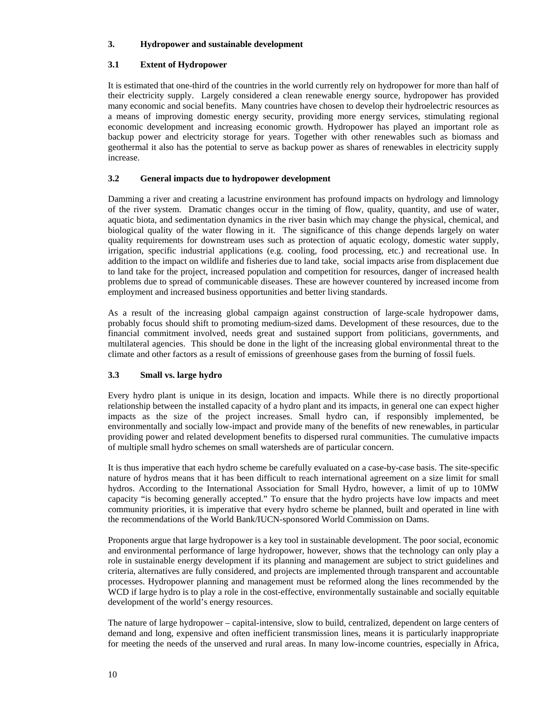## **3. Hydropower and sustainable development**

## **3.1 Extent of Hydropower**

It is estimated that one-third of the countries in the world currently rely on hydropower for more than half of their electricity supply. Largely considered a clean renewable energy source, hydropower has provided many economic and social benefits. Many countries have chosen to develop their hydroelectric resources as a means of improving domestic energy security, providing more energy services, stimulating regional economic development and increasing economic growth. Hydropower has played an important role as backup power and electricity storage for years. Together with other renewables such as biomass and geothermal it also has the potential to serve as backup power as shares of renewables in electricity supply increase.

## **3.2 General impacts due to hydropower development**

Damming a river and creating a lacustrine environment has profound impacts on hydrology and limnology of the river system. Dramatic changes occur in the timing of flow, quality, quantity, and use of water, aquatic biota, and sedimentation dynamics in the river basin which may change the physical, chemical, and biological quality of the water flowing in it. The significance of this change depends largely on water quality requirements for downstream uses such as protection of aquatic ecology, domestic water supply, irrigation, specific industrial applications (e.g. cooling, food processing, etc.) and recreational use. In addition to the impact on wildlife and fisheries due to land take, social impacts arise from displacement due to land take for the project, increased population and competition for resources, danger of increased health problems due to spread of communicable diseases. These are however countered by increased income from employment and increased business opportunities and better living standards.

As a result of the increasing global campaign against construction of large-scale hydropower dams, probably focus should shift to promoting medium-sized dams. Development of these resources, due to the financial commitment involved, needs great and sustained support from politicians, governments, and multilateral agencies. This should be done in the light of the increasing global environmental threat to the climate and other factors as a result of emissions of greenhouse gases from the burning of fossil fuels.

# **3.3 Small vs. large hydro**

Every hydro plant is unique in its design, location and impacts. While there is no directly proportional relationship between the installed capacity of a hydro plant and its impacts, in general one can expect higher impacts as the size of the project increases. Small hydro can, if responsibly implemented, be environmentally and socially low-impact and provide many of the benefits of new renewables, in particular providing power and related development benefits to dispersed rural communities. The cumulative impacts of multiple small hydro schemes on small watersheds are of particular concern.

It is thus imperative that each hydro scheme be carefully evaluated on a case-by-case basis. The site-specific nature of hydros means that it has been difficult to reach international agreement on a size limit for small hydros. According to the International Association for Small Hydro, however, a limit of up to 10MW capacity "is becoming generally accepted." To ensure that the hydro projects have low impacts and meet community priorities, it is imperative that every hydro scheme be planned, built and operated in line with the recommendations of the World Bank/IUCN-sponsored World Commission on Dams.

Proponents argue that large hydropower is a key tool in sustainable development. The poor social, economic and environmental performance of large hydropower, however, shows that the technology can only play a role in sustainable energy development if its planning and management are subject to strict guidelines and criteria, alternatives are fully considered, and projects are implemented through transparent and accountable processes. Hydropower planning and management must be reformed along the lines recommended by the WCD if large hydro is to play a role in the cost-effective, environmentally sustainable and socially equitable development of the world's energy resources.

The nature of large hydropower – capital-intensive, slow to build, centralized, dependent on large centers of demand and long, expensive and often inefficient transmission lines, means it is particularly inappropriate for meeting the needs of the unserved and rural areas. In many low-income countries, especially in Africa,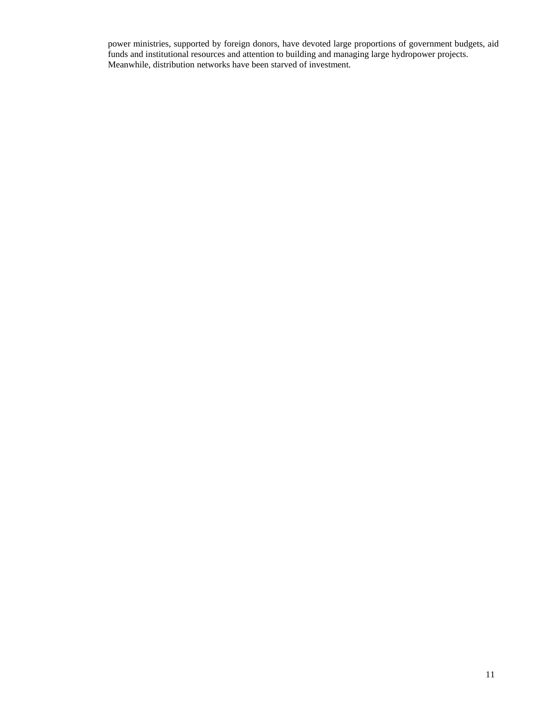power ministries, supported by foreign donors, have devoted large proportions of government budgets, aid funds and institutional resources and attention to building and managing large hydropower projects. Meanwhile, distribution networks have been starved of investment.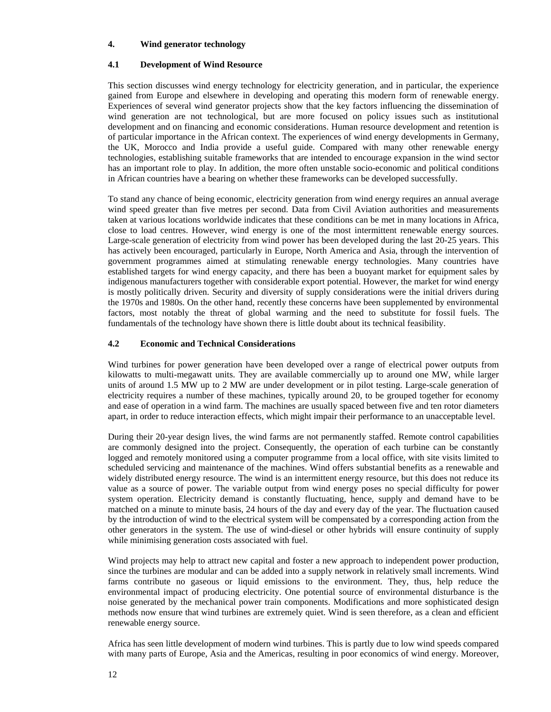#### **4. Wind generator technology**

#### **4.1 Development of Wind Resource**

This section discusses wind energy technology for electricity generation, and in particular, the experience gained from Europe and elsewhere in developing and operating this modern form of renewable energy. Experiences of several wind generator projects show that the key factors influencing the dissemination of wind generation are not technological, but are more focused on policy issues such as institutional development and on financing and economic considerations. Human resource development and retention is of particular importance in the African context. The experiences of wind energy developments in Germany, the UK, Morocco and India provide a useful guide. Compared with many other renewable energy technologies, establishing suitable frameworks that are intended to encourage expansion in the wind sector has an important role to play. In addition, the more often unstable socio-economic and political conditions in African countries have a bearing on whether these frameworks can be developed successfully.

To stand any chance of being economic, electricity generation from wind energy requires an annual average wind speed greater than five metres per second. Data from Civil Aviation authorities and measurements taken at various locations worldwide indicates that these conditions can be met in many locations in Africa, close to load centres. However, wind energy is one of the most intermittent renewable energy sources. Large-scale generation of electricity from wind power has been developed during the last 20-25 years. This has actively been encouraged, particularly in Europe, North America and Asia, through the intervention of government programmes aimed at stimulating renewable energy technologies. Many countries have established targets for wind energy capacity, and there has been a buoyant market for equipment sales by indigenous manufacturers together with considerable export potential. However, the market for wind energy is mostly politically driven. Security and diversity of supply considerations were the initial drivers during the 1970s and 1980s. On the other hand, recently these concerns have been supplemented by environmental factors, most notably the threat of global warming and the need to substitute for fossil fuels. The fundamentals of the technology have shown there is little doubt about its technical feasibility.

#### **4.2 Economic and Technical Considerations**

Wind turbines for power generation have been developed over a range of electrical power outputs from kilowatts to multi-megawatt units. They are available commercially up to around one MW, while larger units of around 1.5 MW up to 2 MW are under development or in pilot testing. Large-scale generation of electricity requires a number of these machines, typically around 20, to be grouped together for economy and ease of operation in a wind farm. The machines are usually spaced between five and ten rotor diameters apart, in order to reduce interaction effects, which might impair their performance to an unacceptable level.

During their 20-year design lives, the wind farms are not permanently staffed. Remote control capabilities are commonly designed into the project. Consequently, the operation of each turbine can be constantly logged and remotely monitored using a computer programme from a local office, with site visits limited to scheduled servicing and maintenance of the machines. Wind offers substantial benefits as a renewable and widely distributed energy resource. The wind is an intermittent energy resource, but this does not reduce its value as a source of power. The variable output from wind energy poses no special difficulty for power system operation. Electricity demand is constantly fluctuating, hence, supply and demand have to be matched on a minute to minute basis, 24 hours of the day and every day of the year. The fluctuation caused by the introduction of wind to the electrical system will be compensated by a corresponding action from the other generators in the system. The use of wind-diesel or other hybrids will ensure continuity of supply while minimising generation costs associated with fuel.

Wind projects may help to attract new capital and foster a new approach to independent power production, since the turbines are modular and can be added into a supply network in relatively small increments. Wind farms contribute no gaseous or liquid emissions to the environment. They, thus, help reduce the environmental impact of producing electricity. One potential source of environmental disturbance is the noise generated by the mechanical power train components. Modifications and more sophisticated design methods now ensure that wind turbines are extremely quiet. Wind is seen therefore, as a clean and efficient renewable energy source.

Africa has seen little development of modern wind turbines. This is partly due to low wind speeds compared with many parts of Europe, Asia and the Americas, resulting in poor economics of wind energy. Moreover,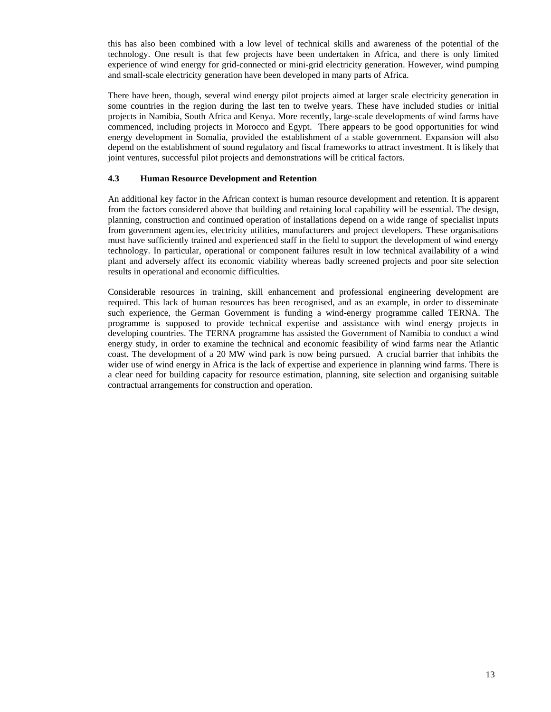this has also been combined with a low level of technical skills and awareness of the potential of the technology. One result is that few projects have been undertaken in Africa, and there is only limited experience of wind energy for grid-connected or mini-grid electricity generation. However, wind pumping and small-scale electricity generation have been developed in many parts of Africa.

There have been, though, several wind energy pilot projects aimed at larger scale electricity generation in some countries in the region during the last ten to twelve years. These have included studies or initial projects in Namibia, South Africa and Kenya. More recently, large-scale developments of wind farms have commenced, including projects in Morocco and Egypt. There appears to be good opportunities for wind energy development in Somalia, provided the establishment of a stable government. Expansion will also depend on the establishment of sound regulatory and fiscal frameworks to attract investment. It is likely that joint ventures, successful pilot projects and demonstrations will be critical factors.

#### **4.3 Human Resource Development and Retention**

An additional key factor in the African context is human resource development and retention. It is apparent from the factors considered above that building and retaining local capability will be essential. The design, planning, construction and continued operation of installations depend on a wide range of specialist inputs from government agencies, electricity utilities, manufacturers and project developers. These organisations must have sufficiently trained and experienced staff in the field to support the development of wind energy technology. In particular, operational or component failures result in low technical availability of a wind plant and adversely affect its economic viability whereas badly screened projects and poor site selection results in operational and economic difficulties.

Considerable resources in training, skill enhancement and professional engineering development are required. This lack of human resources has been recognised, and as an example, in order to disseminate such experience, the German Government is funding a wind-energy programme called TERNA. The programme is supposed to provide technical expertise and assistance with wind energy projects in developing countries. The TERNA programme has assisted the Government of Namibia to conduct a wind energy study, in order to examine the technical and economic feasibility of wind farms near the Atlantic coast. The development of a 20 MW wind park is now being pursued. A crucial barrier that inhibits the wider use of wind energy in Africa is the lack of expertise and experience in planning wind farms. There is a clear need for building capacity for resource estimation, planning, site selection and organising suitable contractual arrangements for construction and operation.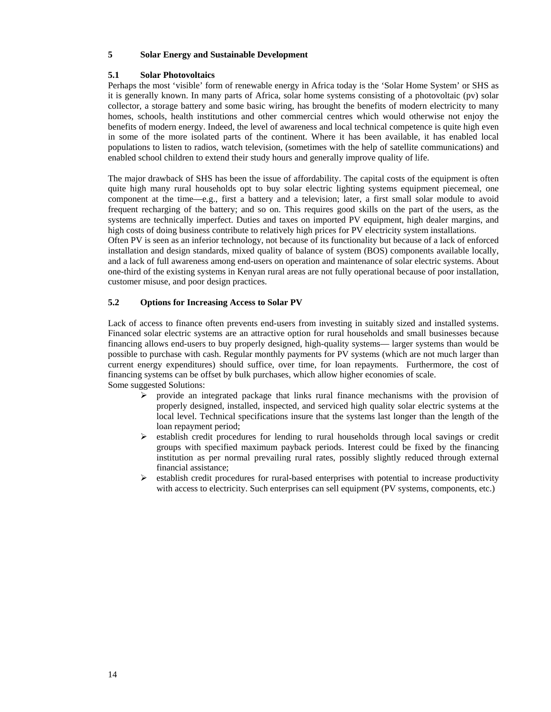## **5 Solar Energy and Sustainable Development**

#### **5.1 Solar Photovoltaics**

Perhaps the most 'visible' form of renewable energy in Africa today is the 'Solar Home System' or SHS as it is generally known. In many parts of Africa, solar home systems consisting of a photovoltaic (pv) solar collector, a storage battery and some basic wiring, has brought the benefits of modern electricity to many homes, schools, health institutions and other commercial centres which would otherwise not enjoy the benefits of modern energy. Indeed, the level of awareness and local technical competence is quite high even in some of the more isolated parts of the continent. Where it has been available, it has enabled local populations to listen to radios, watch television, (sometimes with the help of satellite communications) and enabled school children to extend their study hours and generally improve quality of life.

The major drawback of SHS has been the issue of affordability. The capital costs of the equipment is often quite high many rural households opt to buy solar electric lighting systems equipment piecemeal, one component at the time—e.g., first a battery and a television; later, a first small solar module to avoid frequent recharging of the battery; and so on. This requires good skills on the part of the users, as the systems are technically imperfect. Duties and taxes on imported PV equipment, high dealer margins, and high costs of doing business contribute to relatively high prices for PV electricity system installations.

Often PV is seen as an inferior technology, not because of its functionality but because of a lack of enforced installation and design standards, mixed quality of balance of system (BOS) components available locally, and a lack of full awareness among end-users on operation and maintenance of solar electric systems. About one-third of the existing systems in Kenyan rural areas are not fully operational because of poor installation, customer misuse, and poor design practices.

#### **5.2 Options for Increasing Access to Solar PV**

Lack of access to finance often prevents end-users from investing in suitably sized and installed systems. Financed solar electric systems are an attractive option for rural households and small businesses because financing allows end-users to buy properly designed, high-quality systems— larger systems than would be possible to purchase with cash. Regular monthly payments for PV systems (which are not much larger than current energy expenditures) should suffice, over time, for loan repayments. Furthermore, the cost of financing systems can be offset by bulk purchases, which allow higher economies of scale. Some suggested Solutions:

- $\triangleright$  provide an integrated package that links rural finance mechanisms with the provision of properly designed, installed, inspected, and serviced high quality solar electric systems at the local level. Technical specifications insure that the systems last longer than the length of the loan repayment period;
- $\triangleright$  establish credit procedures for lending to rural households through local savings or credit groups with specified maximum payback periods. Interest could be fixed by the financing institution as per normal prevailing rural rates, possibly slightly reduced through external financial assistance;
- $\triangleright$  establish credit procedures for rural-based enterprises with potential to increase productivity with access to electricity. Such enterprises can sell equipment (PV systems, components, etc.)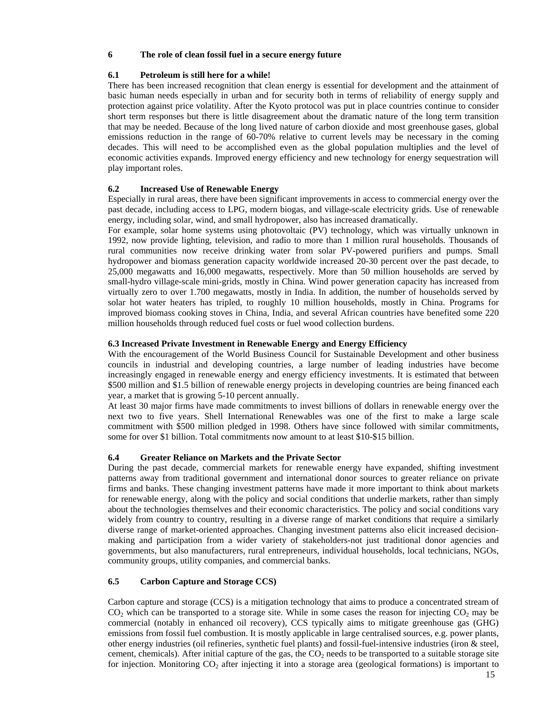#### **6 The role of clean fossil fuel in a secure energy future**

#### **6.1 Petroleum is still here for a while!**

There has been increased recognition that clean energy is essential for development and the attainment of basic human needs especially in urban and for security both in terms of reliability of energy supply and protection against price volatility. After the Kyoto protocol was put in place countries continue to consider short term responses but there is little disagreement about the dramatic nature of the long term transition that may be needed. Because of the long lived nature of carbon dioxide and most greenhouse gases, global emissions reduction in the range of 60-70% relative to current levels may be necessary in the coming decades. This will need to be accomplished even as the global population multiplies and the level of economic activities expands. Improved energy efficiency and new technology for energy sequestration will play important roles.

## **6.2 Increased Use of Renewable Energy**

Especially in rural areas, there have been significant improvements in access to commercial energy over the past decade, including access to LPG, modern biogas, and village-scale electricity grids. Use of renewable energy, including solar, wind, and small hydropower, also has increased dramatically.

For example, solar home systems using photovoltaic (PV) technology, which was virtually unknown in 1992, now provide lighting, television, and radio to more than 1 million rural households. Thousands of rural communities now receive drinking water from solar PV-powered purifiers and pumps. Small hydropower and biomass generation capacity worldwide increased 20-30 percent over the past decade, to 25,000 megawatts and 16,000 megawatts, respectively. More than 50 million households are served by small-hydro village-scale mini-grids, mostly in China. Wind power generation capacity has increased from virtually zero to over 1.700 megawatts, mostly in India. In addition, the number of households served by solar hot water heaters has tripled, to roughly 10 million households, mostly in China. Programs for improved biomass cooking stoves in China, India, and several African countries have benefited some 220 million households through reduced fuel costs or fuel wood collection burdens.

#### **6.3 Increased Private Investment in Renewable Energy and Energy Efficiency**

With the encouragement of the World Business Council for Sustainable Development and other business councils in industrial and developing countries, a large number of leading industries have become increasingly engaged in renewable energy and energy efficiency investments. It is estimated that between \$500 million and \$1.5 billion of renewable energy projects in developing countries are being financed each year, a market that is growing 5-10 percent annually.

At least 30 major firms have made commitments to invest billions of dollars in renewable energy over the next two to five years. Shell International Renewables was one of the first to make a large scale commitment with \$500 million pledged in 1998. Others have since followed with similar commitments, some for over \$1 billion. Total commitments now amount to at least \$10-\$15 billion.

## **6.4 Greater Reliance on Markets and the Private Sector**

During the past decade, commercial markets for renewable energy have expanded, shifting investment patterns away from traditional government and international donor sources to greater reliance on private firms and banks. These changing investment patterns have made it more important to think about markets for renewable energy, along with the policy and social conditions that underlie markets, rather than simply about the technologies themselves and their economic characteristics. The policy and social conditions vary widely from country to country, resulting in a diverse range of market conditions that require a similarly diverse range of market-oriented approaches. Changing investment patterns also elicit increased decisionmaking and participation from a wider variety of stakeholders-not just traditional donor agencies and governments, but also manufacturers, rural entrepreneurs, individual households, local technicians, NGOs, community groups, utility companies, and commercial banks.

#### **6.5 Carbon Capture and Storage CCS)**

Carbon capture and storage (CCS) is a mitigation technology that aims to produce a concentrated stream of  $CO<sub>2</sub>$  which can be transported to a storage site. While in some cases the reason for injecting  $CO<sub>2</sub>$  may be commercial (notably in enhanced oil recovery), CCS typically aims to mitigate greenhouse gas (GHG) emissions from fossil fuel combustion. It is mostly applicable in large centralised sources, e.g. power plants, other energy industries (oil refineries, synthetic fuel plants) and fossil-fuel-intensive industries (iron & steel, cement, chemicals). After initial capture of the gas, the  $CO<sub>2</sub>$  needs to be transported to a suitable storage site for injection. Monitoring  $CO<sub>2</sub>$  after injecting it into a storage area (geological formations) is important to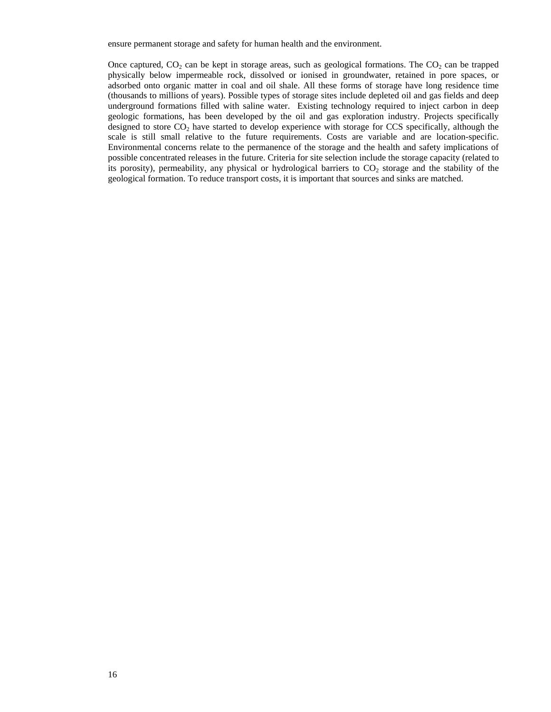ensure permanent storage and safety for human health and the environment.

Once captured,  $CO_2$  can be kept in storage areas, such as geological formations. The  $CO_2$  can be trapped physically below impermeable rock, dissolved or ionised in groundwater, retained in pore spaces, or adsorbed onto organic matter in coal and oil shale. All these forms of storage have long residence time (thousands to millions of years). Possible types of storage sites include depleted oil and gas fields and deep underground formations filled with saline water. Existing technology required to inject carbon in deep geologic formations, has been developed by the oil and gas exploration industry. Projects specifically designed to store  $CO<sub>2</sub>$  have started to develop experience with storage for CCS specifically, although the scale is still small relative to the future requirements. Costs are variable and are location-specific. Environmental concerns relate to the permanence of the storage and the health and safety implications of possible concentrated releases in the future. Criteria for site selection include the storage capacity (related to its porosity), permeability, any physical or hydrological barriers to  $CO<sub>2</sub>$  storage and the stability of the geological formation. To reduce transport costs, it is important that sources and sinks are matched.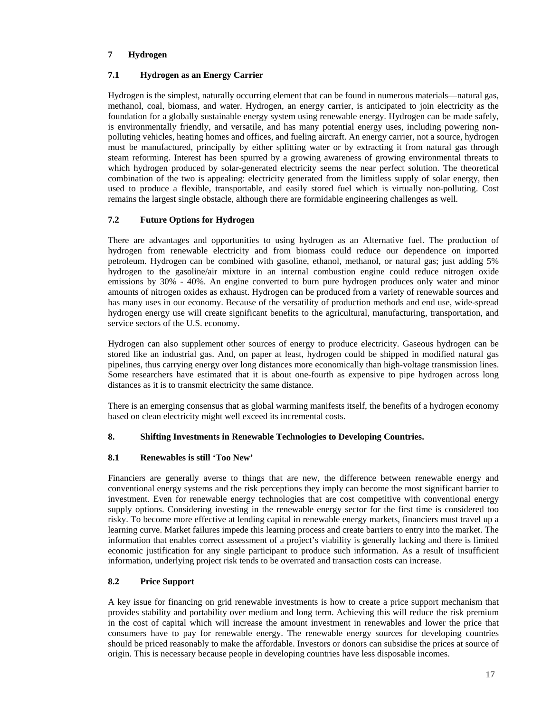## **7 Hydrogen**

## **7.1 Hydrogen as an Energy Carrier**

Hydrogen is the simplest, naturally occurring element that can be found in numerous materials—natural gas, methanol, coal, biomass, and water. Hydrogen, an energy carrier, is anticipated to join electricity as the foundation for a globally sustainable energy system using renewable energy. Hydrogen can be made safely, is environmentally friendly, and versatile, and has many potential energy uses, including powering nonpolluting vehicles, heating homes and offices, and fueling aircraft. An energy carrier, not a source, hydrogen must be manufactured, principally by either splitting water or by extracting it from natural gas through steam reforming. Interest has been spurred by a growing awareness of growing environmental threats to which hydrogen produced by solar-generated electricity seems the near perfect solution. The theoretical combination of the two is appealing: electricity generated from the limitless supply of solar energy, then used to produce a flexible, transportable, and easily stored fuel which is virtually non-polluting. Cost remains the largest single obstacle, although there are formidable engineering challenges as well.

# **7.2 Future Options for Hydrogen**

There are advantages and opportunities to using hydrogen as an Alternative fuel. The production of hydrogen from renewable electricity and from biomass could reduce our dependence on imported petroleum. Hydrogen can be combined with gasoline, ethanol, methanol, or natural gas; just adding 5% hydrogen to the gasoline/air mixture in an internal combustion engine could reduce nitrogen oxide emissions by 30% - 40%. An engine converted to burn pure hydrogen produces only water and minor amounts of nitrogen oxides as exhaust. Hydrogen can be produced from a variety of renewable sources and has many uses in our economy. Because of the versatility of production methods and end use, wide-spread hydrogen energy use will create significant benefits to the agricultural, manufacturing, transportation, and service sectors of the U.S. economy.

Hydrogen can also supplement other sources of energy to produce electricity. Gaseous hydrogen can be stored like an industrial gas. And, on paper at least, hydrogen could be shipped in modified natural gas pipelines, thus carrying energy over long distances more economically than high-voltage transmission lines. Some researchers have estimated that it is about one-fourth as expensive to pipe hydrogen across long distances as it is to transmit electricity the same distance.

There is an emerging consensus that as global warming manifests itself, the benefits of a hydrogen economy based on clean electricity might well exceed its incremental costs.

# **8. Shifting Investments in Renewable Technologies to Developing Countries.**

# **8.1 Renewables is still 'Too New'**

Financiers are generally averse to things that are new, the difference between renewable energy and conventional energy systems and the risk perceptions they imply can become the most significant barrier to investment. Even for renewable energy technologies that are cost competitive with conventional energy supply options. Considering investing in the renewable energy sector for the first time is considered too risky. To become more effective at lending capital in renewable energy markets, financiers must travel up a learning curve. Market failures impede this learning process and create barriers to entry into the market. The information that enables correct assessment of a project's viability is generally lacking and there is limited economic justification for any single participant to produce such information. As a result of insufficient information, underlying project risk tends to be overrated and transaction costs can increase.

# **8.2 Price Support**

A key issue for financing on grid renewable investments is how to create a price support mechanism that provides stability and portability over medium and long term. Achieving this will reduce the risk premium in the cost of capital which will increase the amount investment in renewables and lower the price that consumers have to pay for renewable energy. The renewable energy sources for developing countries should be priced reasonably to make the affordable. Investors or donors can subsidise the prices at source of origin. This is necessary because people in developing countries have less disposable incomes.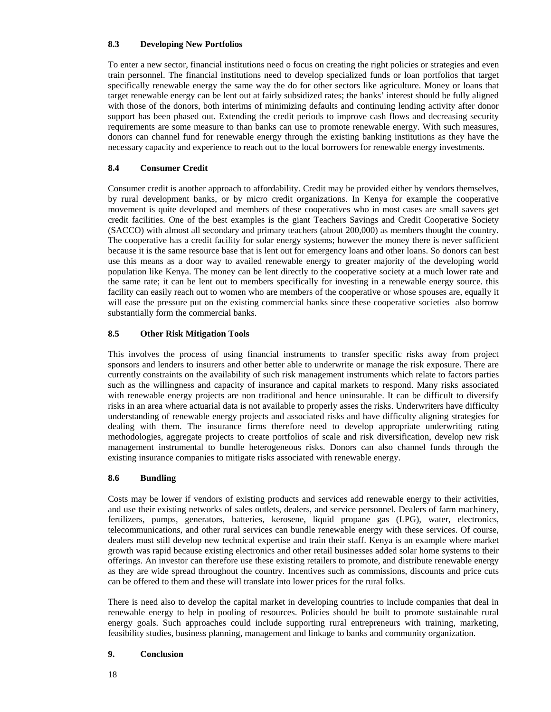## **8.3 Developing New Portfolios**

To enter a new sector, financial institutions need o focus on creating the right policies or strategies and even train personnel. The financial institutions need to develop specialized funds or loan portfolios that target specifically renewable energy the same way the do for other sectors like agriculture. Money or loans that target renewable energy can be lent out at fairly subsidized rates; the banks' interest should be fully aligned with those of the donors, both interims of minimizing defaults and continuing lending activity after donor support has been phased out. Extending the credit periods to improve cash flows and decreasing security requirements are some measure to than banks can use to promote renewable energy. With such measures, donors can channel fund for renewable energy through the existing banking institutions as they have the necessary capacity and experience to reach out to the local borrowers for renewable energy investments.

## **8.4 Consumer Credit**

Consumer credit is another approach to affordability. Credit may be provided either by vendors themselves, by rural development banks, or by micro credit organizations. In Kenya for example the cooperative movement is quite developed and members of these cooperatives who in most cases are small savers get credit facilities. One of the best examples is the giant Teachers Savings and Credit Cooperative Society (SACCO) with almost all secondary and primary teachers (about 200,000) as members thought the country. The cooperative has a credit facility for solar energy systems; however the money there is never sufficient because it is the same resource base that is lent out for emergency loans and other loans. So donors can best use this means as a door way to availed renewable energy to greater majority of the developing world population like Kenya. The money can be lent directly to the cooperative society at a much lower rate and the same rate; it can be lent out to members specifically for investing in a renewable energy source. this facility can easily reach out to women who are members of the cooperative or whose spouses are, equally it will ease the pressure put on the existing commercial banks since these cooperative societies also borrow substantially form the commercial banks.

## **8.5 Other Risk Mitigation Tools**

This involves the process of using financial instruments to transfer specific risks away from project sponsors and lenders to insurers and other better able to underwrite or manage the risk exposure. There are currently constraints on the availability of such risk management instruments which relate to factors parties such as the willingness and capacity of insurance and capital markets to respond. Many risks associated with renewable energy projects are non traditional and hence uninsurable. It can be difficult to diversify risks in an area where actuarial data is not available to properly asses the risks. Underwriters have difficulty understanding of renewable energy projects and associated risks and have difficulty aligning strategies for dealing with them. The insurance firms therefore need to develop appropriate underwriting rating methodologies, aggregate projects to create portfolios of scale and risk diversification, develop new risk management instrumental to bundle heterogeneous risks. Donors can also channel funds through the existing insurance companies to mitigate risks associated with renewable energy.

## **8.6 Bundling**

Costs may be lower if vendors of existing products and services add renewable energy to their activities, and use their existing networks of sales outlets, dealers, and service personnel. Dealers of farm machinery, fertilizers, pumps, generators, batteries, kerosene, liquid propane gas (LPG), water, electronics, telecommunications, and other rural services can bundle renewable energy with these services. Of course, dealers must still develop new technical expertise and train their staff. Kenya is an example where market growth was rapid because existing electronics and other retail businesses added solar home systems to their offerings. An investor can therefore use these existing retailers to promote, and distribute renewable energy as they are wide spread throughout the country. Incentives such as commissions, discounts and price cuts can be offered to them and these will translate into lower prices for the rural folks.

There is need also to develop the capital market in developing countries to include companies that deal in renewable energy to help in pooling of resources. Policies should be built to promote sustainable rural energy goals. Such approaches could include supporting rural entrepreneurs with training, marketing, feasibility studies, business planning, management and linkage to banks and community organization.

#### **9. Conclusion**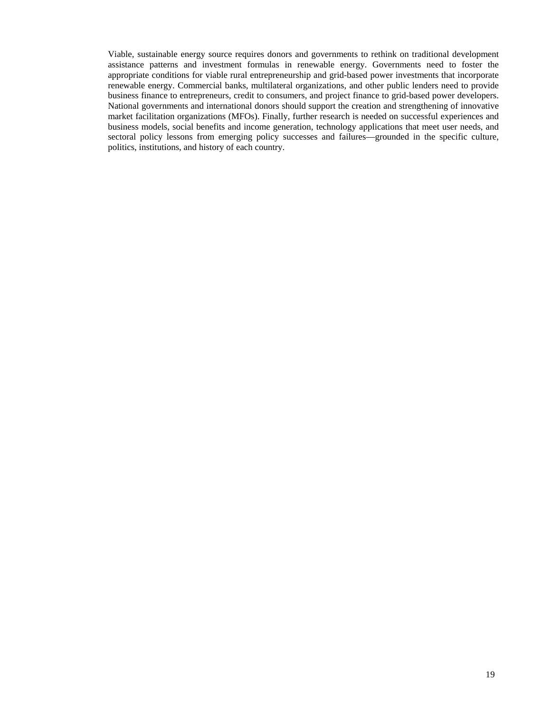Viable, sustainable energy source requires donors and governments to rethink on traditional development assistance patterns and investment formulas in renewable energy. Governments need to foster the appropriate conditions for viable rural entrepreneurship and grid-based power investments that incorporate renewable energy. Commercial banks, multilateral organizations, and other public lenders need to provide business finance to entrepreneurs, credit to consumers, and project finance to grid-based power developers. National governments and international donors should support the creation and strengthening of innovative market facilitation organizations (MFOs). Finally, further research is needed on successful experiences and business models, social benefits and income generation, technology applications that meet user needs, and sectoral policy lessons from emerging policy successes and failures—grounded in the specific culture, politics, institutions, and history of each country.